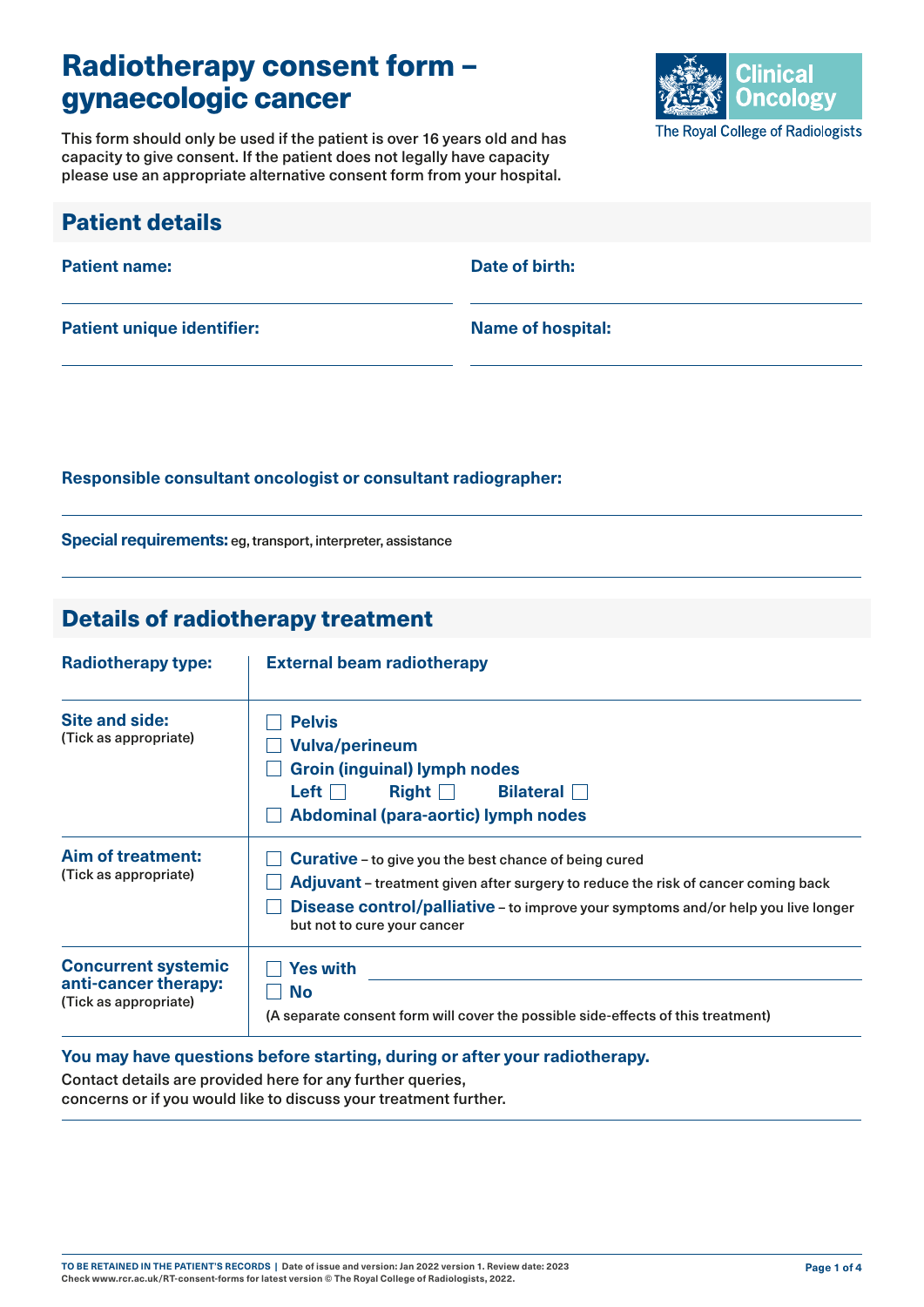# Radiotherapy consent form – gynaecologic cancer

Clinical **Oncology** The Royal College of Radiologists

This form should only be used if the patient is over 16 years old and has capacity to give consent. If the patient does not legally have capacity please use an appropriate alternative consent form from your hospital.

| <b>Patient details</b>            |                          |
|-----------------------------------|--------------------------|
| <b>Patient name:</b>              | Date of birth:           |
| <b>Patient unique identifier:</b> | <b>Name of hospital:</b> |

#### **Responsible consultant oncologist or consultant radiographer:**

**Special requirements:** eg, transport, interpreter, assistance

### Details of radiotherapy treatment

| <b>Radiotherapy type:</b>                                                   | <b>External beam radiotherapy</b>                                                                                                                                                                                                                                                   |  |  |
|-----------------------------------------------------------------------------|-------------------------------------------------------------------------------------------------------------------------------------------------------------------------------------------------------------------------------------------------------------------------------------|--|--|
| Site and side:<br>(Tick as appropriate)                                     | <b>Pelvis</b><br><b>Vulva/perineum</b><br><b>Groin (inguinal) lymph nodes</b><br>Left $\vert \ \vert$<br>Right Bilateral<br><b>Abdominal (para-aortic) lymph nodes</b>                                                                                                              |  |  |
| Aim of treatment:<br>(Tick as appropriate)                                  | <b>Curative</b> - to give you the best chance of being cured<br><b>Adjuvant</b> – treatment given after surgery to reduce the risk of cancer coming back<br><b>Disease control/palliative</b> – to improve your symptoms and/or help you live longer<br>but not to cure your cancer |  |  |
| <b>Concurrent systemic</b><br>anti-cancer therapy:<br>(Tick as appropriate) | <b>Yes with</b><br><b>No</b><br>(A separate consent form will cover the possible side-effects of this treatment)                                                                                                                                                                    |  |  |

#### **You may have questions before starting, during or after your radiotherapy.**

Contact details are provided here for any further queries, concerns or if you would like to discuss your treatment further.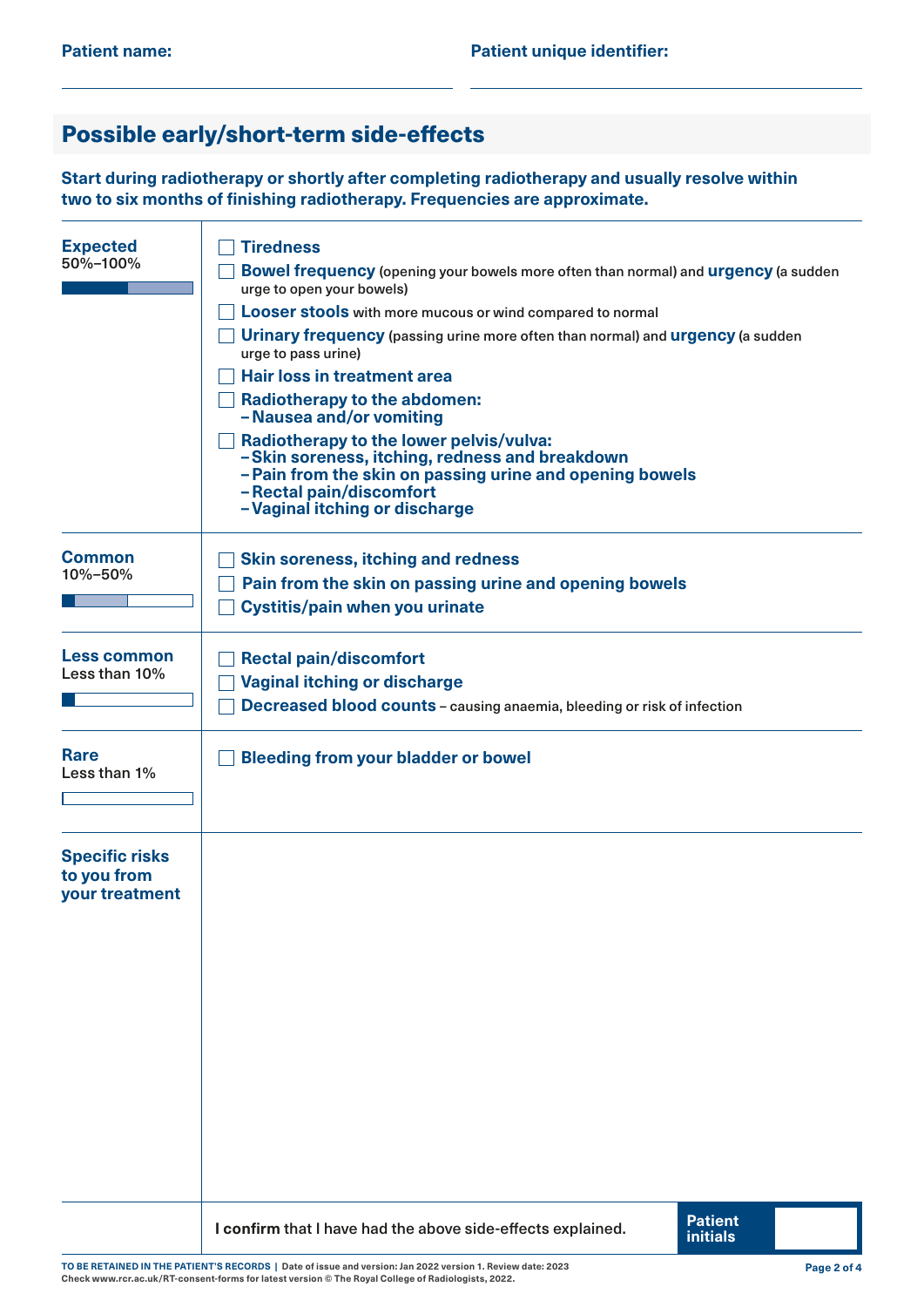## Possible early/short-term side-effects

**Start during radiotherapy or shortly after completing radiotherapy and usually resolve within two to six months of finishing radiotherapy. Frequencies are approximate.**

| <b>Expected</b><br>50%-100%                            | <b>Tiredness</b><br>Bowel frequency (opening your bowels more often than normal) and urgency (a sudden<br>urge to open your bowels)<br>Looser stools with more mucous or wind compared to normal<br><b>Urinary frequency</b> (passing urine more often than normal) and <b>urgency</b> (a sudden<br>urge to pass urine)<br><b>Hair loss in treatment area</b><br><b>Radiotherapy to the abdomen:</b><br>- Nausea and/or vomiting<br>Radiotherapy to the lower pelvis/vulva:<br>-Skin soreness, itching, redness and breakdown<br>-Pain from the skin on passing urine and opening bowels<br>- Rectal pain/discomfort<br>-Vaginal itching or discharge |  |  |
|--------------------------------------------------------|-------------------------------------------------------------------------------------------------------------------------------------------------------------------------------------------------------------------------------------------------------------------------------------------------------------------------------------------------------------------------------------------------------------------------------------------------------------------------------------------------------------------------------------------------------------------------------------------------------------------------------------------------------|--|--|
| <b>Common</b><br>10%-50%                               | <b>Skin soreness, itching and redness</b><br>Pain from the skin on passing urine and opening bowels<br><b>Cystitis/pain when you urinate</b>                                                                                                                                                                                                                                                                                                                                                                                                                                                                                                          |  |  |
| <b>Less common</b><br>Less than 10%                    | <b>Rectal pain/discomfort</b><br><b>Vaginal itching or discharge</b><br><b>Decreased blood counts - causing anaemia, bleeding or risk of infection</b>                                                                                                                                                                                                                                                                                                                                                                                                                                                                                                |  |  |
| <b>Rare</b><br>Less than 1%                            | <b>Bleeding from your bladder or bowel</b>                                                                                                                                                                                                                                                                                                                                                                                                                                                                                                                                                                                                            |  |  |
| <b>Specific risks</b><br>to you from<br>your treatment |                                                                                                                                                                                                                                                                                                                                                                                                                                                                                                                                                                                                                                                       |  |  |
|                                                        | <b>Patient</b><br>I confirm that I have had the above side-effects explained.<br><b>initials</b>                                                                                                                                                                                                                                                                                                                                                                                                                                                                                                                                                      |  |  |

**TO BE RETAINED IN THE PATIENT'S RECORDS | Date of issue and version: Jan 2022 version 1. Review date: 2023 Check [www.rcr.ac.uk/RT-consent-forms](http://www.rcr.ac.uk/RT-consent-forms) for latest version © The Royal College of Radiologists, 2022.**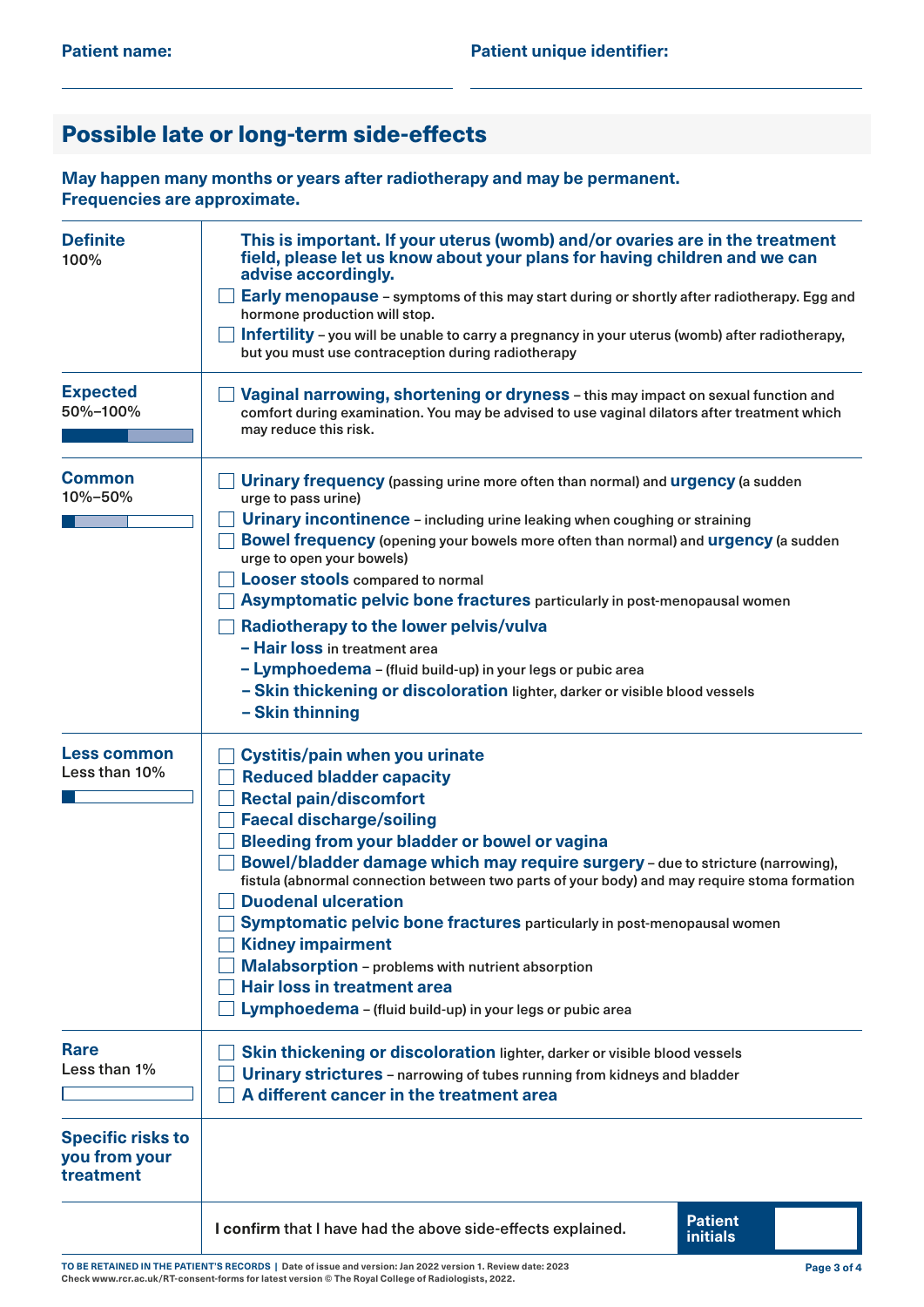## Possible late or long-term side-effects

**May happen many months or years after radiotherapy and may be permanent. Frequencies are approximate.**

| <b>Definite</b><br>100%                                | This is important. If your uterus (womb) and/or ovaries are in the treatment<br>field, please let us know about your plans for having children and we can<br>advise accordingly.<br>Early menopause - symptoms of this may start during or shortly after radiotherapy. Egg and<br>hormone production will stop.<br>Infertility - you will be unable to carry a pregnancy in your uterus (womb) after radiotherapy,<br>but you must use contraception during radiotherapy                                                                                                                                                                                                                             |  |  |  |  |
|--------------------------------------------------------|------------------------------------------------------------------------------------------------------------------------------------------------------------------------------------------------------------------------------------------------------------------------------------------------------------------------------------------------------------------------------------------------------------------------------------------------------------------------------------------------------------------------------------------------------------------------------------------------------------------------------------------------------------------------------------------------------|--|--|--|--|
| <b>Expected</b><br>50%-100%                            | Vaginal narrowing, shortening or dryness - this may impact on sexual function and<br>comfort during examination. You may be advised to use vaginal dilators after treatment which<br>may reduce this risk.                                                                                                                                                                                                                                                                                                                                                                                                                                                                                           |  |  |  |  |
| <b>Common</b><br>10%-50%                               | <b>Urinary frequency</b> (passing urine more often than normal) and <b>urgency</b> (a sudden<br>urge to pass urine)<br>Urinary incontinence - including urine leaking when coughing or straining<br><b>Bowel frequency</b> (opening your bowels more often than normal) and <b>urgency</b> (a sudden<br>urge to open your bowels)<br><b>Looser stools compared to normal</b><br>Asymptomatic pelvic bone fractures particularly in post-menopausal women<br>Radiotherapy to the lower pelvis/vulva<br>- Hair loss in treatment area<br>- Lymphoedema - (fluid build-up) in your legs or pubic area<br>- Skin thickening or discoloration lighter, darker or visible blood vessels<br>- Skin thinning |  |  |  |  |
| <b>Less common</b><br>Less than 10%                    | Cystitis/pain when you urinate<br><b>Reduced bladder capacity</b><br><b>Rectal pain/discomfort</b><br><b>Faecal discharge/soiling</b><br>Bleeding from your bladder or bowel or vagina<br>Bowel/bladder damage which may require surgery - due to stricture (narrowing),<br>fistula (abnormal connection between two parts of your body) and may require stoma formation<br><b>Duodenal ulceration</b><br>Symptomatic pelvic bone fractures particularly in post-menopausal women<br><b>Kidney impairment</b><br>Malabsorption - problems with nutrient absorption<br><b>Hair loss in treatment area</b><br>Lymphoedema - (fluid build-up) in your legs or pubic area                                |  |  |  |  |
| <b>Rare</b><br>Less than 1%                            | Skin thickening or discoloration lighter, darker or visible blood vessels<br>Urinary strictures - narrowing of tubes running from kidneys and bladder<br>A different cancer in the treatment area                                                                                                                                                                                                                                                                                                                                                                                                                                                                                                    |  |  |  |  |
| <b>Specific risks to</b><br>you from your<br>treatment |                                                                                                                                                                                                                                                                                                                                                                                                                                                                                                                                                                                                                                                                                                      |  |  |  |  |
|                                                        | <b>Patient</b><br>I confirm that I have had the above side-effects explained.<br><b>initials</b>                                                                                                                                                                                                                                                                                                                                                                                                                                                                                                                                                                                                     |  |  |  |  |

**TO BE RETAINED IN THE PATIENT'S RECORDS | Date of issue and version: Jan 2022 version 1. Review date: 2023 Check [www.rcr.ac.uk/RT-consent-forms](http://www.rcr.ac.uk/RT-consent-forms) for latest version © The Royal College of Radiologists, 2022.**